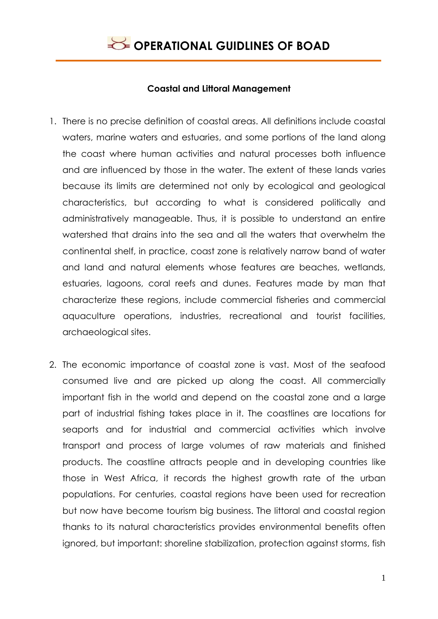

#### **Coastal and Littoral Management**

- 1. There is no precise definition of coastal areas. All definitions include coastal waters, marine waters and estuaries, and some portions of the land along the coast where human activities and natural processes both influence and are influenced by those in the water. The extent of these lands varies because its limits are determined not only by ecological and geological characteristics, but according to what is considered politically and administratively manageable. Thus, it is possible to understand an entire watershed that drains into the sea and all the waters that overwhelm the continental shelf, in practice, coast zone is relatively narrow band of water and land and natural elements whose features are beaches, wetlands, estuaries, lagoons, coral reefs and dunes. Features made by man that characterize these regions, include commercial fisheries and commercial aquaculture operations, industries, recreational and tourist facilities, archaeological sites.
- 2. The economic importance of coastal zone is vast. Most of the seafood consumed live and are picked up along the coast. All commercially important fish in the world and depend on the coastal zone and a large part of industrial fishing takes place in it. The coastlines are locations for seaports and for industrial and commercial activities which involve transport and process of large volumes of raw materials and finished products. The coastline attracts people and in developing countries like those in West Africa, it records the highest growth rate of the urban populations. For centuries, coastal regions have been used for recreation but now have become tourism big business. The littoral and coastal region thanks to its natural characteristics provides environmental benefits often ignored, but important: shoreline stabilization, protection against storms, fish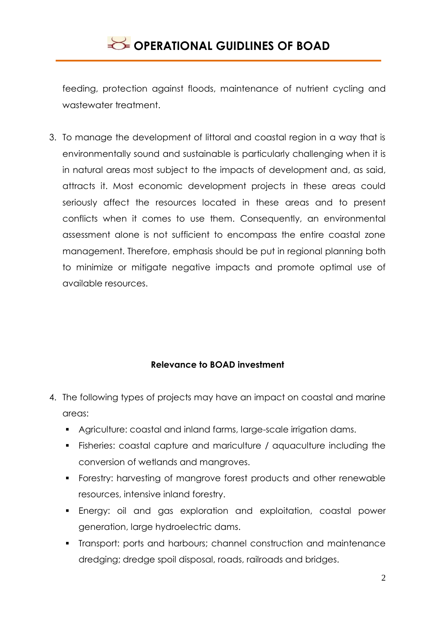feeding, protection against floods, maintenance of nutrient cycling and wastewater treatment.

3. To manage the development of littoral and coastal region in a way that is environmentally sound and sustainable is particularly challenging when it is in natural areas most subject to the impacts of development and, as said, attracts it. Most economic development projects in these areas could seriously affect the resources located in these areas and to present conflicts when it comes to use them. Consequently, an environmental assessment alone is not sufficient to encompass the entire coastal zone management. Therefore, emphasis should be put in regional planning both to minimize or mitigate negative impacts and promote optimal use of available resources.

### **Relevance to BOAD investment**

- 4. The following types of projects may have an impact on coastal and marine areas:
	- Agriculture: coastal and inland farms, large-scale irrigation dams.
	- Fisheries: coastal capture and mariculture / aquaculture including the conversion of wetlands and mangroves.
	- **Forestry: harvesting of mangrove forest products and other renewable** resources, intensive inland forestry.
	- Energy: oil and gas exploration and exploitation, coastal power generation, large hydroelectric dams.
	- Transport: ports and harbours; channel construction and maintenance dredging; dredge spoil disposal, roads, railroads and bridges.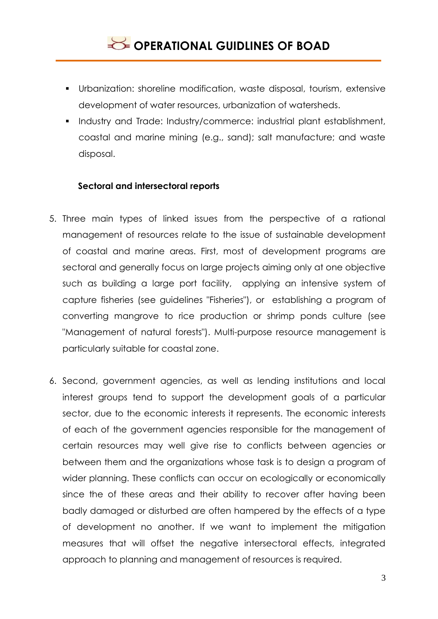- Urbanization: shoreline modification, waste disposal, tourism, extensive development of water resources, urbanization of watersheds.
- **Industry and Trade: Industry/commerce: industrial plant establishment,** coastal and marine mining (e.g., sand); salt manufacture; and waste disposal.

### **Sectoral and intersectoral reports**

- 5. Three main types of linked issues from the perspective of a rational management of resources relate to the issue of sustainable development of coastal and marine areas. First, most of development programs are sectoral and generally focus on large projects aiming only at one objective such as building a large port facility, applying an intensive system of capture fisheries (see guidelines "Fisheries"), or establishing a program of converting mangrove to rice production or shrimp ponds culture (see "Management of natural forests"). Multi-purpose resource management is particularly suitable for coastal zone.
- 6. Second, government agencies, as well as lending institutions and local interest groups tend to support the development goals of a particular sector, due to the economic interests it represents. The economic interests of each of the government agencies responsible for the management of certain resources may well give rise to conflicts between agencies or between them and the organizations whose task is to design a program of wider planning. These conflicts can occur on ecologically or economically since the of these areas and their ability to recover after having been badly damaged or disturbed are often hampered by the effects of a type of development no another. If we want to implement the mitigation measures that will offset the negative intersectoral effects, integrated approach to planning and management of resources is required.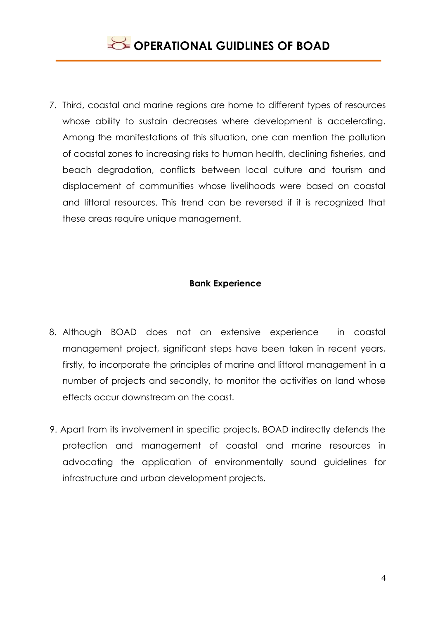7. Third, coastal and marine regions are home to different types of resources whose ability to sustain decreases where development is accelerating. Among the manifestations of this situation, one can mention the pollution of coastal zones to increasing risks to human health, declining fisheries, and beach degradation, conflicts between local culture and tourism and displacement of communities whose livelihoods were based on coastal and littoral resources. This trend can be reversed if it is recognized that these areas require unique management.

### **Bank Experience**

- 8. Although BOAD does not an extensive experience in coastal management project, significant steps have been taken in recent years, firstly, to incorporate the principles of marine and littoral management in a number of projects and secondly, to monitor the activities on land whose effects occur downstream on the coast.
- 9. Apart from its involvement in specific projects, BOAD indirectly defends the protection and management of coastal and marine resources in advocating the application of environmentally sound guidelines for infrastructure and urban development projects.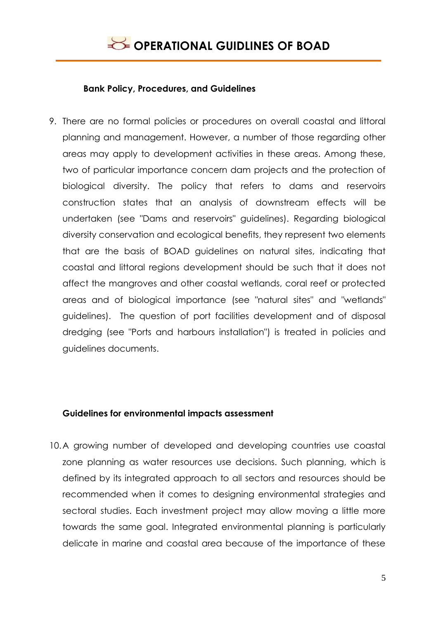### **Bank Policy, Procedures, and Guidelines**

9. There are no formal policies or procedures on overall coastal and littoral planning and management. However, a number of those regarding other areas may apply to development activities in these areas. Among these, two of particular importance concern dam projects and the protection of biological diversity. The policy that refers to dams and reservoirs construction states that an analysis of downstream effects will be undertaken (see "Dams and reservoirs" guidelines). Regarding biological diversity conservation and ecological benefits, they represent two elements that are the basis of BOAD guidelines on natural sites, indicating that coastal and littoral regions development should be such that it does not affect the mangroves and other coastal wetlands, coral reef or protected areas and of biological importance (see "natural sites" and "wetlands" guidelines). The question of port facilities development and of disposal dredging (see "Ports and harbours installation") is treated in policies and guidelines documents.

### **Guidelines for environmental impacts assessment**

10.A growing number of developed and developing countries use coastal zone planning as water resources use decisions. Such planning, which is defined by its integrated approach to all sectors and resources should be recommended when it comes to designing environmental strategies and sectoral studies. Each investment project may allow moving a little more towards the same goal. Integrated environmental planning is particularly delicate in marine and coastal area because of the importance of these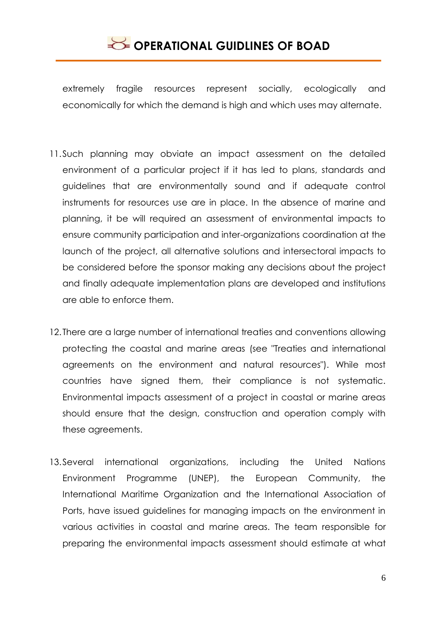extremely fragile resources represent socially, ecologically and economically for which the demand is high and which uses may alternate.

- 11.Such planning may obviate an impact assessment on the detailed environment of a particular project if it has led to plans, standards and guidelines that are environmentally sound and if adequate control instruments for resources use are in place. In the absence of marine and planning, it be will required an assessment of environmental impacts to ensure community participation and inter-organizations coordination at the launch of the project, all alternative solutions and intersectoral impacts to be considered before the sponsor making any decisions about the project and finally adequate implementation plans are developed and institutions are able to enforce them.
- 12. There are a large number of international treaties and conventions allowing protecting the coastal and marine areas (see "Treaties and international agreements on the environment and natural resources"). While most countries have signed them, their compliance is not systematic. Environmental impacts assessment of a project in coastal or marine areas should ensure that the design, construction and operation comply with these agreements.
- 13.Several international organizations, including the United Nations Environment Programme (UNEP), the European Community, the International Maritime Organization and the International Association of Ports, have issued guidelines for managing impacts on the environment in various activities in coastal and marine areas. The team responsible for preparing the environmental impacts assessment should estimate at what